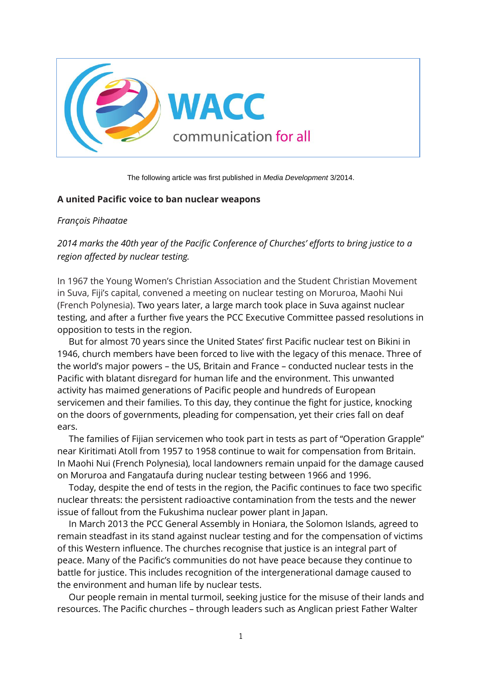

The following article was first published in *Media Development* 3/2014.

## **A united Pacific voice to ban nuclear weapons**

## *François Pihaatae*

*2014 marks the 40th year of the Pacific Conference of Churches' efforts to bring justice to a region affected by nuclear testing.*

In 1967 the Young Women's Christian Association and the Student Christian Movement in Suva, Fiji's capital, convened a meeting on nuclear testing on Moruroa, Maohi Nui (French Polynesia). Two years later, a large march took place in Suva against nuclear testing, and after a further five years the PCC Executive Committee passed resolutions in opposition to tests in the region.

But for almost 70 years since the United States' first Pacific nuclear test on Bikini in 1946, church members have been forced to live with the legacy of this menace. Three of the world's major powers – the US, Britain and France – conducted nuclear tests in the Pacific with blatant disregard for human life and the environment. This unwanted activity has maimed generations of Pacific people and hundreds of European servicemen and their families. To this day, they continue the fight for justice, knocking on the doors of governments, pleading for compensation, yet their cries fall on deaf ears.

The families of Fijian servicemen who took part in tests as part of "Operation Grapple" near Kiritimati Atoll from 1957 to 1958 continue to wait for compensation from Britain. In Maohi Nui (French Polynesia), local landowners remain unpaid for the damage caused on Moruroa and Fangataufa during nuclear testing between 1966 and 1996.

Today, despite the end of tests in the region, the Pacific continues to face two specific nuclear threats: the persistent radioactive contamination from the tests and the newer issue of fallout from the Fukushima nuclear power plant in Japan.

In March 2013 the PCC General Assembly in Honiara, the Solomon Islands, agreed to remain steadfast in its stand against nuclear testing and for the compensation of victims of this Western influence. The churches recognise that justice is an integral part of peace. Many of the Pacific's communities do not have peace because they continue to battle for justice. This includes recognition of the intergenerational damage caused to the environment and human life by nuclear tests.

Our people remain in mental turmoil, seeking justice for the misuse of their lands and resources. The Pacific churches – through leaders such as Anglican priest Father Walter